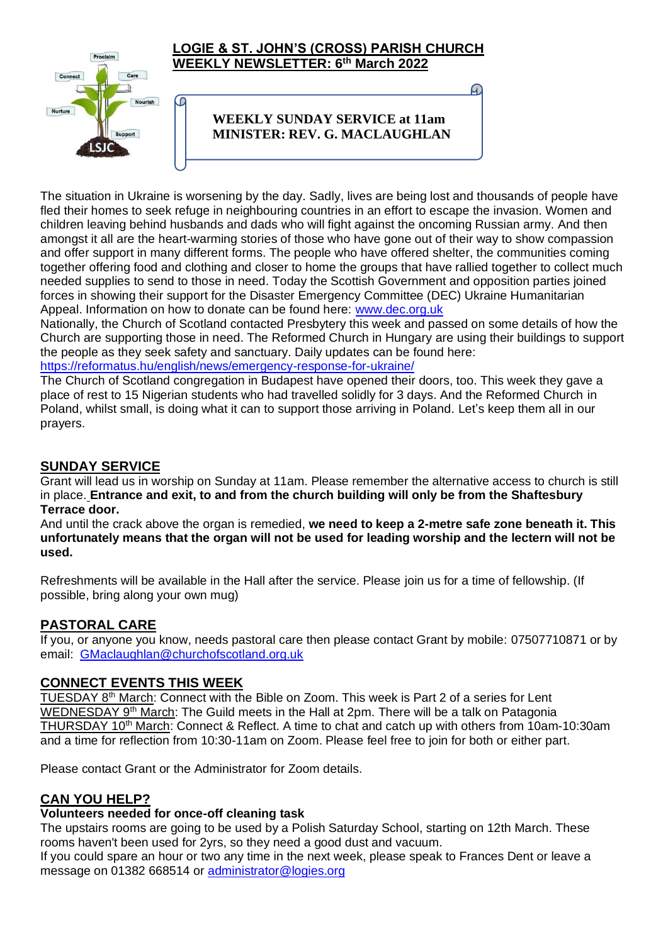

The situation in Ukraine is worsening by the day. Sadly, lives are being lost and thousands of people have fled their homes to seek refuge in neighbouring countries in an effort to escape the invasion. Women and children leaving behind husbands and dads who will fight against the oncoming Russian army. And then amongst it all are the heart-warming stories of those who have gone out of their way to show compassion and offer support in many different forms. The people who have offered shelter, the communities coming together offering food and clothing and closer to home the groups that have rallied together to collect much needed supplies to send to those in need. Today the Scottish Government and opposition parties joined forces in showing their support for the Disaster Emergency Committee (DEC) Ukraine Humanitarian Appeal. Information on how to donate can be found here: [www.dec.org.uk](http://www.dec.org.uk/)

Nationally, the Church of Scotland contacted Presbytery this week and passed on some details of how the Church are supporting those in need. The Reformed Church in Hungary are using their buildings to support the people as they seek safety and sanctuary. Daily updates can be found here: <https://reformatus.hu/english/news/emergency-response-for-ukraine/>

The Church of Scotland congregation in Budapest have opened their doors, too. This week they gave a place of rest to 15 Nigerian students who had travelled solidly for 3 days. And the Reformed Church in Poland, whilst small, is doing what it can to support those arriving in Poland. Let's keep them all in our prayers.

## **SUNDAY SERVICE**

Grant will lead us in worship on Sunday at 11am. Please remember the alternative access to church is still in place. **Entrance and exit, to and from the church building will only be from the Shaftesbury Terrace door.**

And until the crack above the organ is remedied, **we need to keep a 2-metre safe zone beneath it. This unfortunately means that the organ will not be used for leading worship and the lectern will not be used.**

Refreshments will be available in the Hall after the service. Please join us for a time of fellowship. (If possible, bring along your own mug)

## **PASTORAL CARE**

If you, or anyone you know, needs pastoral care then please contact Grant by mobile: 07507710871 or by email: [GMaclaughlan@churchofscotland.org.uk](mailto:GMaclaughlan@churchofscotland.org.uk)

## **CONNECT EVENTS THIS WEEK**

TUESDAY 8th March: Connect with the Bible on Zoom. This week is Part 2 of a series for Lent WEDNESDAY 9<sup>th</sup> March: The Guild meets in the Hall at 2pm. There will be a talk on Patagonia THURSDAY 10<sup>th</sup> March: Connect & Reflect. A time to chat and catch up with others from 10am-10:30am and a time for reflection from 10:30-11am on Zoom. Please feel free to join for both or either part.

Please contact Grant or the Administrator for Zoom details.

## **CAN YOU HELP?**

#### **Volunteers needed for once-off cleaning task**

The upstairs rooms are going to be used by a Polish Saturday School, starting on 12th March. These rooms haven't been used for 2yrs, so they need a good dust and vacuum.

If you could spare an hour or two any time in the next week, please speak to Frances Dent or leave a message on 01382 668514 or [administrator@logies.org](mailto:administrator@logies.org)